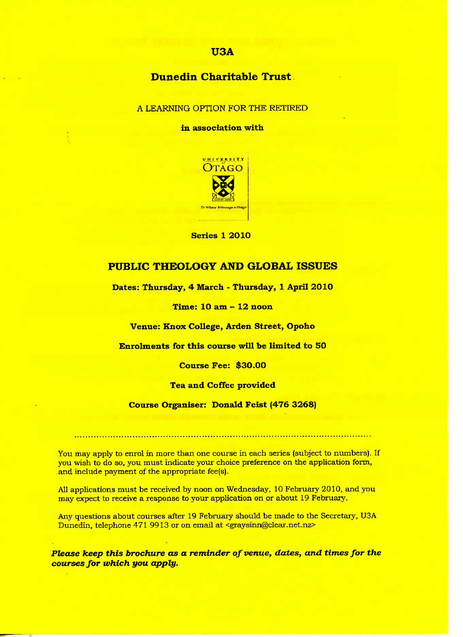## USA

# Dunedin **Charitable Trust**

### A LEARNING OPTION FOR THE RETIRED

in association with



**Series 1 2010**

## **PUBLIC THEOLOGY AND GLOBAL ISSUES**

**Dates: Thursday, 4 March - Thursday, 1 April 2010**

**Time: 10 am - 12 noon**

**Venue: Knox College, Arden Street, Opoho**

**Enrolments for this course will be limited to 50**

**Course Fee: \$30.00**

**Tea and Coffee provided**

**Course Organiser: Donald Feist (476 3268)**

You may apply to enrol in more than one course in each series (subject to numbers). If you wish to do so, you must indicate your choice preference on the application form, and include payment of the appropriate fee(s).

All applications must be received by noon on Wednesday, 10 February 2010, and you may expect to receive a response to your application on or about 19 February.

Any questions about courses after 19 February should be made to the Secretary, USA Dunedin, telephone 471 9913 or on email at <graysinn@clear.net.nz>

*Please keep this brochure as a reminder of venue, dates, and times for the courses for which you apply.*